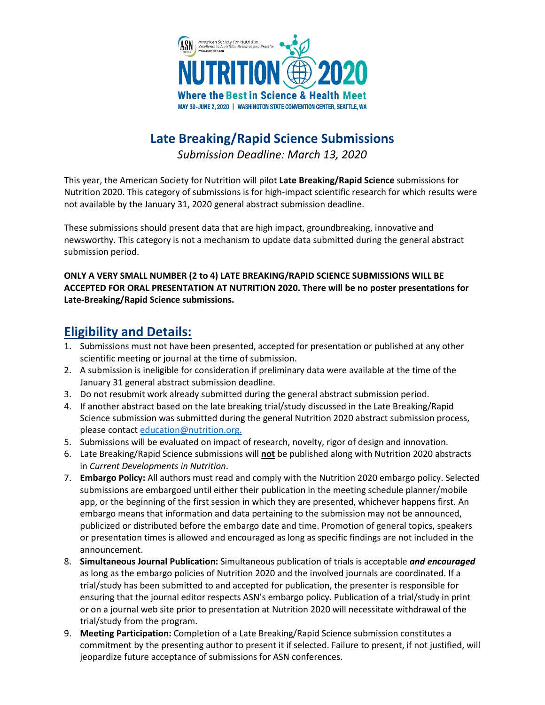

# **Late Breaking/Rapid Science Submissions**

*Submission Deadline: March 13, 2020*

This year, the American Society for Nutrition will pilot **Late Breaking/Rapid Science** submissions for Nutrition 2020. This category of submissions is for high-impact scientific research for which results were not available by the January 31, 2020 general abstract submission deadline.

These submissions should present data that are high impact, groundbreaking, innovative and newsworthy. This category is not a mechanism to update data submitted during the general abstract submission period.

#### **ONLY A VERY SMALL NUMBER (2 to 4) LATE BREAKING/RAPID SCIENCE SUBMISSIONS WILL BE ACCEPTED FOR ORAL PRESENTATION AT NUTRITION 2020. There will be no poster presentations for Late-Breaking/Rapid Science submissions.**

### **Eligibility and Details:**

- 1. Submissions must not have been presented, accepted for presentation or published at any other scientific meeting or journal at the time of submission.
- 2. A submission is ineligible for consideration if preliminary data were available at the time of the January 31 general abstract submission deadline.
- 3. Do not resubmit work already submitted during the general abstract submission period.
- 4. If another abstract based on the late breaking trial/study discussed in the Late Breaking/Rapid Science submission was submitted during the general Nutrition 2020 abstract submission process, please contact [education@nutrition.org.](mailto:education@nutrition.org)
- 5. Submissions will be evaluated on impact of research, novelty, rigor of design and innovation.
- 6. Late Breaking/Rapid Science submissions will **not** be published along with Nutrition 2020 abstracts in *Current Developments in Nutrition*.
- 7. **Embargo Policy:** All authors must read and comply with the Nutrition 2020 embargo policy. Selected submissions are embargoed until either their publication in the meeting schedule planner/mobile app, or the beginning of the first session in which they are presented, whichever happens first. An embargo means that information and data pertaining to the submission may not be announced, publicized or distributed before the embargo date and time. Promotion of general topics, speakers or presentation times is allowed and encouraged as long as specific findings are not included in the announcement.
- 8. **Simultaneous Journal Publication:** Simultaneous publication of trials is acceptable *and encouraged* as long as the embargo policies of Nutrition 2020 and the involved journals are coordinated. If a trial/study has been submitted to and accepted for publication, the presenter is responsible for ensuring that the journal editor respects ASN's embargo policy. Publication of a trial/study in print or on a journal web site prior to presentation at Nutrition 2020 will necessitate withdrawal of the trial/study from the program.
- 9. **Meeting Participation:** Completion of a Late Breaking/Rapid Science submission constitutes a commitment by the presenting author to present it if selected. Failure to present, if not justified, will jeopardize future acceptance of submissions for ASN conferences.